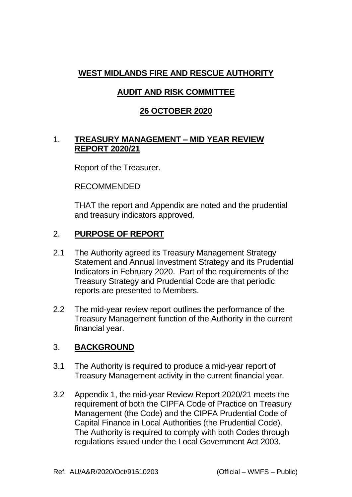## **WEST MIDLANDS FIRE AND RESCUE AUTHORITY**

# **AUDIT AND RISK COMMITTEE**

### **26 OCTOBER 2020**

### 1. **TREASURY MANAGEMENT – MID YEAR REVIEW REPORT 2020/21**

Report of the Treasurer.

RECOMMENDED

THAT the report and Appendix are noted and the prudential and treasury indicators approved.

## 2. **PURPOSE OF REPORT**

- 2.1 The Authority agreed its Treasury Management Strategy Statement and Annual Investment Strategy and its Prudential Indicators in February 2020. Part of the requirements of the Treasury Strategy and Prudential Code are that periodic reports are presented to Members.
- 2.2 The mid-year review report outlines the performance of the Treasury Management function of the Authority in the current financial year.

### 3. **BACKGROUND**

- 3.1 The Authority is required to produce a mid-year report of Treasury Management activity in the current financial year.
- 3.2 Appendix 1, the mid-year Review Report 2020/21 meets the requirement of both the CIPFA Code of Practice on Treasury Management (the Code) and the CIPFA Prudential Code of Capital Finance in Local Authorities (the Prudential Code). The Authority is required to comply with both Codes through regulations issued under the Local Government Act 2003.